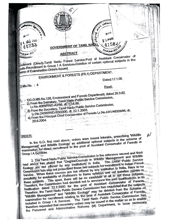URANUE **WASK!** மால **SUI 60** 258601 a 10 1. 1912 2002 41587 44233 **GOVERNMENT OF TAMIL**  $Q_{\text{diff, QQ, S}} = 6$  $46$  and  $-600$ **ABSTRACT** ecruitment (Direct)-Tamil Nadu Forest Service-Post of Assistant Conservator of Forests-Recruitment to Group I A Services-Deletion of certain optional subjects in the theme of Examination-Orders-Issued. ENVIRONMENT & FORESTS (FR.1) DEPARTMENT. Dated: 17.1.05 **G.O.Ms.No.:** Read: -1)G.O.MS.No.128, Environment and Forests Departmers, dated 26.3.92. 2) From the Secretary, Tamil Nadu Public Service Commission, Lr.No.4069/RND-A2/98, dt. 17.6.98. 3) From the Secretary, Tamil Nadu Public Service Commission, 4) From the Principal Chief Conservator of Forests Lr. No. AA1/48328/98, dt. Lr.No.2438/RND-B3/2000, dt. 22.1.2003. 29.9.2004. el pri ser In the G.O. first read above, orders were issued interalia, prescribing Wildlife ORDER:

Management, and Wildlife Ecology as additional optional subjects in the scheme of examination for direct recruitment to the post of Assistant Conservator of Forests in Group I A Services

2. The Tamil Nadu Public Service Commission in the reference second and third read above has stated that "Degree/Courses in Wildlife Management and Wildlife Ecology are not offered by any institutions in India. conogy are not give our any montantic material for recruitment to Indian Porest capes Service. When these courses are not offered by any institution in India, there is no betwice. Writer wase courses are not visitor by influence and set question papers in our payment of the possibility of Professors to frame syllabus and set question papers in our payment possibility for availability of these will be no candidate at all to opt these subjects. mese suppects. This apart, there will be no surveyors the said qualifications in its deep Ineretore, the Commission had deviced for the consistant Conservator of Ferests Therefore, the Tamil Nadu Public Service Commission has requested that the subjects Wildlife Management and "Wildlife Ecology" may be deleted from the Scheme of examination for recruitment relating to the post of Assistant Conservator of Forests included in Group | A Services. The Tamil Nadu Public Service Commission has therefore requested that necessary orders may be issued in the matter so as to enable the Personnel and Administrative Reforms (M) Department, to issue necessary